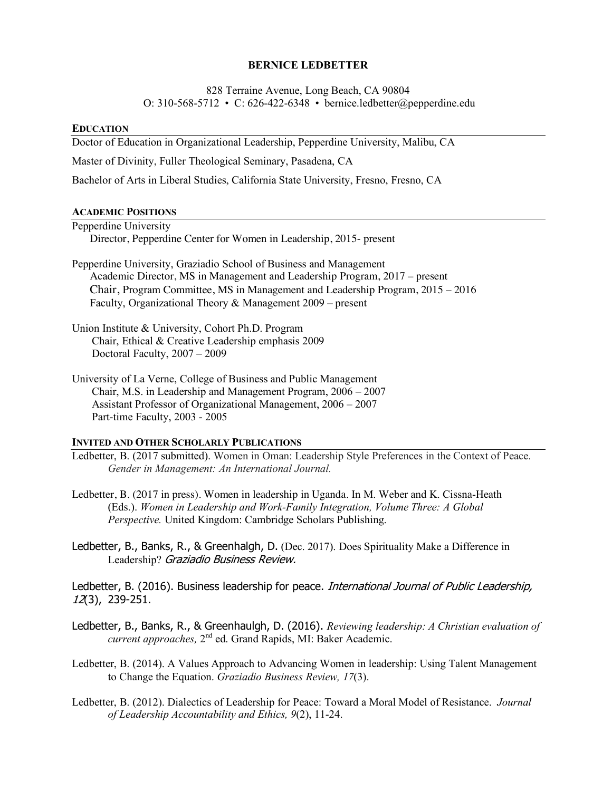### **BERNICE LEDBETTER**

828 Terraine Avenue, Long Beach, CA 90804 O: 310-568-5712 • C: 626-422-6348 • bernice.ledbetter@pepperdine.edu

#### **EDUCATION**

Doctor of Education in Organizational Leadership, Pepperdine University, Malibu, CA

Master of Divinity, Fuller Theological Seminary, Pasadena, CA

Bachelor of Arts in Liberal Studies, California State University, Fresno, Fresno, CA

#### **ACADEMIC POSITIONS**

- Pepperdine University Director, Pepperdine Center for Women in Leadership, 2015- present
- Pepperdine University, Graziadio School of Business and Management Academic Director, MS in Management and Leadership Program, 2017 – present Chair, Program Committee, MS in Management and Leadership Program, 2015 – 2016 Faculty, Organizational Theory & Management 2009 – present
- Union Institute & University, Cohort Ph.D. Program Chair, Ethical & Creative Leadership emphasis 2009 Doctoral Faculty, 2007 – 2009
- University of La Verne, College of Business and Public Management Chair, M.S. in Leadership and Management Program, 2006 – 2007 Assistant Professor of Organizational Management, 2006 – 2007 Part-time Faculty, 2003 - 2005

# **INVITED AND OTHER SCHOLARLY PUBLICATIONS**

- Ledbetter, B. (2017 submitted). Women in Oman: Leadership Style Preferences in the Context of Peace. *Gender in Management: An International Journal.*
- Ledbetter, B. (2017 in press). Women in leadership in Uganda. In M. Weber and K. Cissna-Heath (Eds.). *Women in Leadership and Work-Family Integration, Volume Three: A Global Perspective.* United Kingdom: Cambridge Scholars Publishing.
- Ledbetter, B., Banks, R., & Greenhalgh, D. (Dec. 2017). Does Spirituality Make a Difference in Leadership? Graziadio Business Review.

Ledbetter, B. (2016). Business leadership for peace. *International Journal of Public Leadership*, 12(3), 239-251.

- Ledbetter, B., Banks, R., & Greenhaulgh, D. (2016). *Reviewing leadership: A Christian evaluation of current approaches,* 2nd ed. Grand Rapids, MI: Baker Academic.
- Ledbetter, B. (2014). A Values Approach to Advancing Women in leadership: Using Talent Management to Change the Equation. *Graziadio Business Review, 17*(3).
- Ledbetter, B. (2012). Dialectics of Leadership for Peace: Toward a Moral Model of Resistance. *Journal of Leadership Accountability and Ethics, 9*(2), 11-24.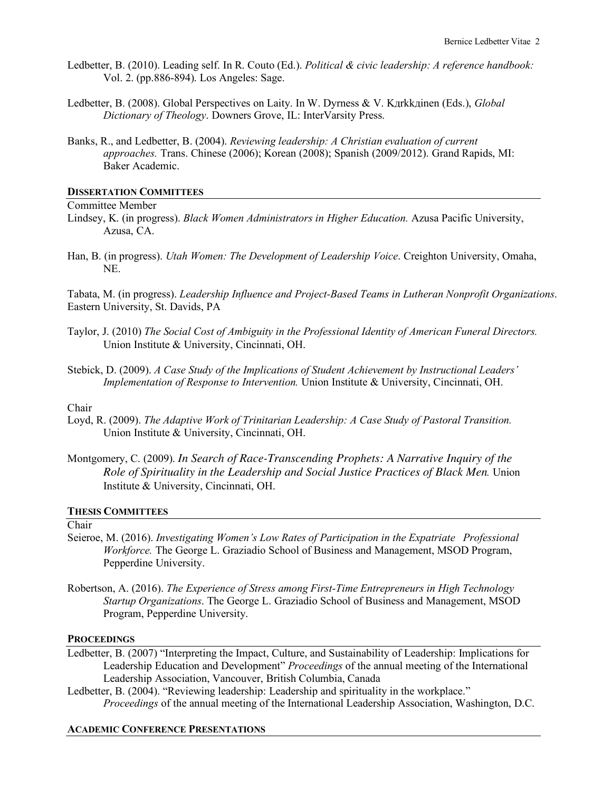- Ledbetter, B. (2010). Leading self. In R. Couto (Ed.). *Political & civic leadership: A reference handbook:*  Vol. 2. (pp.886-894). Los Angeles: Sage.
- Ledbetter, B. (2008). Global Perspectives on Laity. In W. Dyrness & V. Kдrkkдinen (Eds.), *Global Dictionary of Theology*. Downers Grove, IL: InterVarsity Press.
- Banks, R., and Ledbetter, B. (2004). *Reviewing leadership: A Christian evaluation of current approaches.* Trans. Chinese (2006); Korean (2008); Spanish (2009/2012). Grand Rapids, MI: Baker Academic.

#### **DISSERTATION COMMITTEES**

#### Committee Member

- Lindsey, K. (in progress). *Black Women Administrators in Higher Education.* Azusa Pacific University, Azusa, CA.
- Han, B. (in progress). *Utah Women: The Development of Leadership Voice*. Creighton University, Omaha, NE.

Tabata, M. (in progress). *Leadership Influence and Project-Based Teams in Lutheran Nonprofit Organizations*. Eastern University, St. Davids, PA

- Taylor, J. (2010) *The Social Cost of Ambiguity in the Professional Identity of American Funeral Directors.* Union Institute & University, Cincinnati, OH.
- Stebick, D. (2009). *A Case Study of the Implications of Student Achievement by Instructional Leaders' Implementation of Response to Intervention.* Union Institute & University, Cincinnati, OH.

# Chair

- Loyd, R. (2009). *The Adaptive Work of Trinitarian Leadership: A Case Study of Pastoral Transition.* Union Institute & University, Cincinnati, OH.
- Montgomery, C. (2009). *In Search of Race-Transcending Prophets: A Narrative Inquiry of the Role of Spirituality in the Leadership and Social Justice Practices of Black Men.* Union Institute & University, Cincinnati, OH.

# **THESIS COMMITTEES**

Chair

- Seieroe, M. (2016). *Investigating Women's Low Rates of Participation in the Expatriate Professional Workforce.* The George L. Graziadio School of Business and Management, MSOD Program, Pepperdine University.
- Robertson, A. (2016). *The Experience of Stress among First-Time Entrepreneurs in High Technology Startup Organizations*. The George L. Graziadio School of Business and Management, MSOD Program, Pepperdine University.

#### **PROCEEDINGS**

- Ledbetter, B. (2007) "Interpreting the Impact, Culture, and Sustainability of Leadership: Implications for Leadership Education and Development" *Proceedings* of the annual meeting of the International Leadership Association, Vancouver, British Columbia, Canada
- Ledbetter, B. (2004). "Reviewing leadership: Leadership and spirituality in the workplace." *Proceedings* of the annual meeting of the International Leadership Association, Washington, D.C.

#### **ACADEMIC CONFERENCE PRESENTATIONS**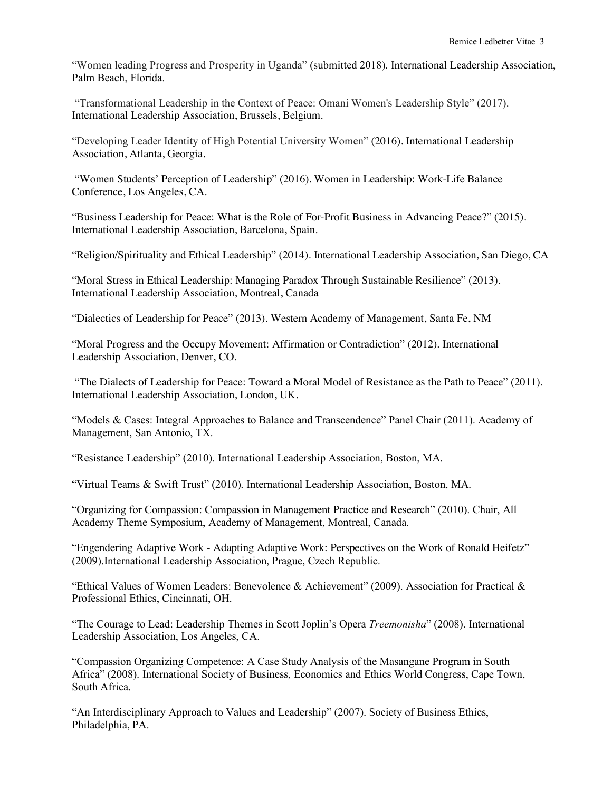"Women leading Progress and Prosperity in Uganda" (submitted 2018). International Leadership Association, Palm Beach, Florida.

"Transformational Leadership in the Context of Peace: Omani Women's Leadership Style" (2017). International Leadership Association, Brussels, Belgium.

"Developing Leader Identity of High Potential University Women" (2016). International Leadership Association, Atlanta, Georgia.

"Women Students' Perception of Leadership" (2016). Women in Leadership: Work-Life Balance Conference, Los Angeles, CA.

"Business Leadership for Peace: What is the Role of For-Profit Business in Advancing Peace?" (2015). International Leadership Association, Barcelona, Spain.

"Religion/Spirituality and Ethical Leadership" (2014). International Leadership Association, San Diego, CA

"Moral Stress in Ethical Leadership: Managing Paradox Through Sustainable Resilience" (2013). International Leadership Association, Montreal, Canada

"Dialectics of Leadership for Peace" (2013). Western Academy of Management, Santa Fe, NM

"Moral Progress and the Occupy Movement: Affirmation or Contradiction" (2012). International Leadership Association, Denver, CO.

"The Dialects of Leadership for Peace: Toward a Moral Model of Resistance as the Path to Peace" (2011). International Leadership Association, London, UK.

"Models & Cases: Integral Approaches to Balance and Transcendence" Panel Chair (2011). Academy of Management, San Antonio, TX.

"Resistance Leadership" (2010). International Leadership Association, Boston, MA.

"Virtual Teams & Swift Trust" (2010). International Leadership Association, Boston, MA.

"Organizing for Compassion: Compassion in Management Practice and Research" (2010). Chair, All Academy Theme Symposium, Academy of Management, Montreal, Canada.

"Engendering Adaptive Work - Adapting Adaptive Work: Perspectives on the Work of Ronald Heifetz" (2009).International Leadership Association, Prague, Czech Republic.

"Ethical Values of Women Leaders: Benevolence & Achievement" (2009). Association for Practical & Professional Ethics, Cincinnati, OH.

"The Courage to Lead: Leadership Themes in Scott Joplin's Opera *Treemonisha*" (2008). International Leadership Association, Los Angeles, CA.

"Compassion Organizing Competence: A Case Study Analysis of the Masangane Program in South Africa" (2008). International Society of Business, Economics and Ethics World Congress, Cape Town, South Africa.

"An Interdisciplinary Approach to Values and Leadership" (2007). Society of Business Ethics, Philadelphia, PA.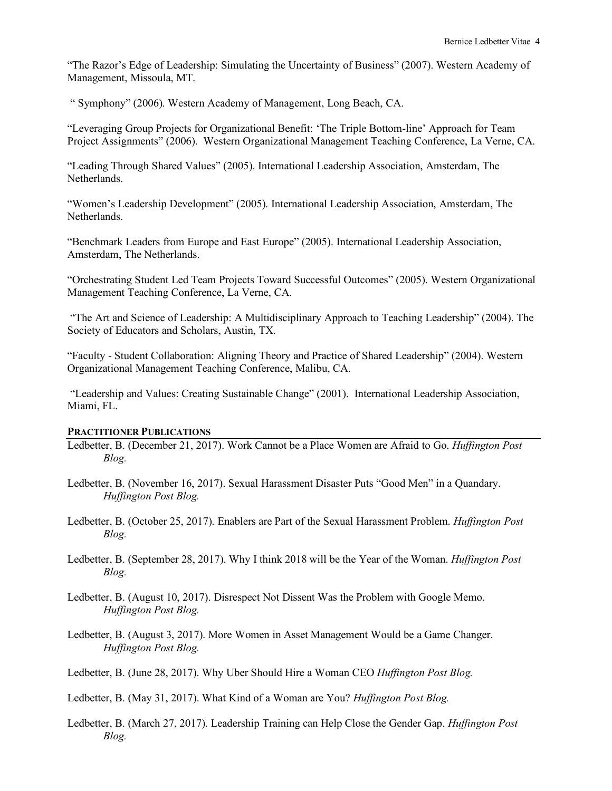"The Razor's Edge of Leadership: Simulating the Uncertainty of Business" (2007). Western Academy of Management, Missoula, MT.

" Symphony" (2006). Western Academy of Management, Long Beach, CA.

"Leveraging Group Projects for Organizational Benefit: 'The Triple Bottom-line' Approach for Team Project Assignments" (2006). Western Organizational Management Teaching Conference, La Verne, CA.

"Leading Through Shared Values" (2005). International Leadership Association, Amsterdam, The Netherlands.

"Women's Leadership Development" (2005). International Leadership Association, Amsterdam, The **Netherlands** 

"Benchmark Leaders from Europe and East Europe" (2005). International Leadership Association, Amsterdam, The Netherlands.

"Orchestrating Student Led Team Projects Toward Successful Outcomes" (2005). Western Organizational Management Teaching Conference, La Verne, CA.

"The Art and Science of Leadership: A Multidisciplinary Approach to Teaching Leadership" (2004). The Society of Educators and Scholars, Austin, TX.

"Faculty - Student Collaboration: Aligning Theory and Practice of Shared Leadership" (2004). Western Organizational Management Teaching Conference, Malibu, CA.

"Leadership and Values: Creating Sustainable Change" (2001). International Leadership Association, Miami, FL.

#### **PRACTITIONER PUBLICATIONS**

- Ledbetter, B. (December 21, 2017). Work Cannot be a Place Women are Afraid to Go. *Huffington Post Blog.*
- Ledbetter, B. (November 16, 2017). Sexual Harassment Disaster Puts "Good Men" in a Quandary. *Huffington Post Blog.*
- Ledbetter, B. (October 25, 2017). Enablers are Part of the Sexual Harassment Problem. *Huffington Post Blog.*
- Ledbetter, B. (September 28, 2017). Why I think 2018 will be the Year of the Woman. *Huffington Post Blog.*
- Ledbetter, B. (August 10, 2017). Disrespect Not Dissent Was the Problem with Google Memo. *Huffington Post Blog.*
- Ledbetter, B. (August 3, 2017). More Women in Asset Management Would be a Game Changer. *Huffington Post Blog.*
- Ledbetter, B. (June 28, 2017). Why Uber Should Hire a Woman CEO *Huffington Post Blog.*

Ledbetter, B. (May 31, 2017). What Kind of a Woman are You? *Huffington Post Blog.*

Ledbetter, B. (March 27, 2017). Leadership Training can Help Close the Gender Gap. *Huffington Post Blog.*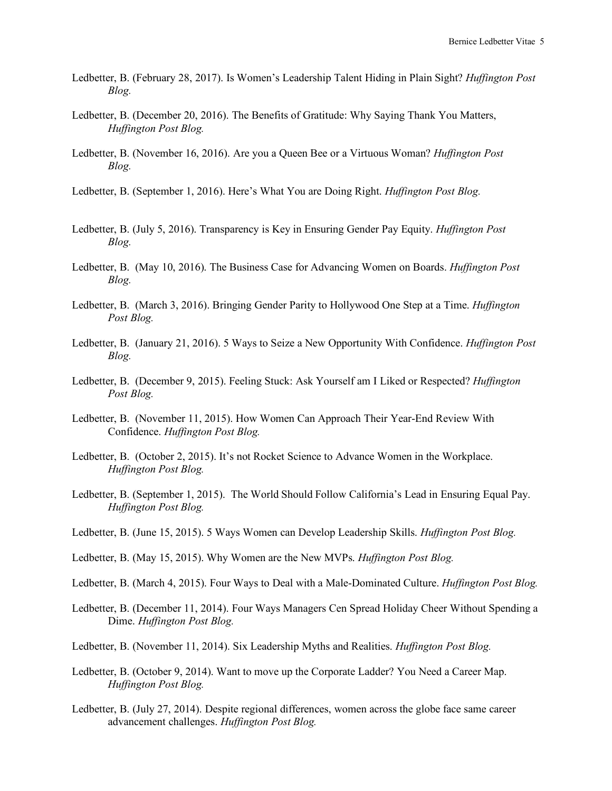- Ledbetter, B. (February 28, 2017). Is Women's Leadership Talent Hiding in Plain Sight? *Huffington Post Blog.*
- Ledbetter, B. (December 20, 2016). The Benefits of Gratitude: Why Saying Thank You Matters, *Huffington Post Blog.*
- Ledbetter, B. (November 16, 2016). Are you a Queen Bee or a Virtuous Woman? *Huffington Post Blog.*
- Ledbetter, B. (September 1, 2016). Here's What You are Doing Right. *Huffington Post Blog.*
- Ledbetter, B. (July 5, 2016). Transparency is Key in Ensuring Gender Pay Equity. *Huffington Post Blog.*
- Ledbetter, B. (May 10, 2016). The Business Case for Advancing Women on Boards. *Huffington Post Blog.*
- Ledbetter, B. (March 3, 2016). Bringing Gender Parity to Hollywood One Step at a Time. *Huffington Post Blog.*
- Ledbetter, B. (January 21, 2016). 5 Ways to Seize a New Opportunity With Confidence. *Huffington Post Blog.*
- Ledbetter, B. (December 9, 2015). Feeling Stuck: Ask Yourself am I Liked or Respected? *Huffington Post Blog.*
- Ledbetter, B. (November 11, 2015). How Women Can Approach Their Year-End Review With Confidence. *Huffington Post Blog.*
- Ledbetter, B. (October 2, 2015). It's not Rocket Science to Advance Women in the Workplace. *Huffington Post Blog.*
- Ledbetter, B. (September 1, 2015). The World Should Follow California's Lead in Ensuring Equal Pay. *Huffington Post Blog.*
- Ledbetter, B. (June 15, 2015). 5 Ways Women can Develop Leadership Skills. *Huffington Post Blog.*
- Ledbetter, B. (May 15, 2015). Why Women are the New MVPs. *Huffington Post Blog.*
- Ledbetter, B. (March 4, 2015). Four Ways to Deal with a Male-Dominated Culture. *Huffington Post Blog.*
- Ledbetter, B. (December 11, 2014). Four Ways Managers Cen Spread Holiday Cheer Without Spending a Dime. *Huffington Post Blog.*
- Ledbetter, B. (November 11, 2014). Six Leadership Myths and Realities. *Huffington Post Blog.*
- Ledbetter, B. (October 9, 2014). Want to move up the Corporate Ladder? You Need a Career Map. *Huffington Post Blog.*
- Ledbetter, B. (July 27, 2014). Despite regional differences, women across the globe face same career advancement challenges. *Huffington Post Blog.*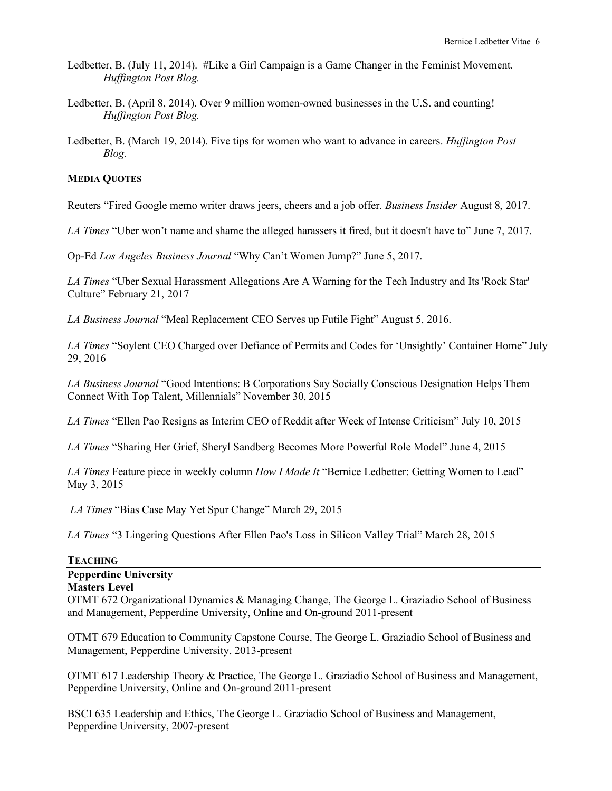- Ledbetter, B. (July 11, 2014). #Like a Girl Campaign is a Game Changer in the Feminist Movement. *Huffington Post Blog.*
- Ledbetter, B. (April 8, 2014). Over 9 million women-owned businesses in the U.S. and counting! *Huffington Post Blog.*
- Ledbetter, B. (March 19, 2014). Five tips for women who want to advance in careers. *Huffington Post Blog.*

#### **MEDIA QUOTES**

Reuters "Fired Google memo writer draws jeers, cheers and a job offer. *Business Insider* August 8, 2017.

*LA Times* "Uber won't name and shame the alleged harassers it fired, but it doesn't have to" June 7, 2017.

Op-Ed *Los Angeles Business Journal* "Why Can't Women Jump?" June 5, 2017.

*LA Times* "Uber Sexual Harassment Allegations Are A Warning for the Tech Industry and Its 'Rock Star' Culture" February 21, 2017

*LA Business Journal* "Meal Replacement CEO Serves up Futile Fight" August 5, 2016.

*LA Times* "Soylent CEO Charged over Defiance of Permits and Codes for 'Unsightly' Container Home" July 29, 2016

*LA Business Journal* "Good Intentions: B Corporations Say Socially Conscious Designation Helps Them Connect With Top Talent, Millennials" November 30, 2015

*LA Times* "Ellen Pao Resigns as Interim CEO of Reddit after Week of Intense Criticism" July 10, 2015

*LA Times* "Sharing Her Grief, Sheryl Sandberg Becomes More Powerful Role Model" June 4, 2015

*LA Times* Feature piece in weekly column *How I Made It* "Bernice Ledbetter: Getting Women to Lead" May 3, 2015

*LA Times* "Bias Case May Yet Spur Change" March 29, 2015

*LA Times* "3 Lingering Questions After Ellen Pao's Loss in Silicon Valley Trial" March 28, 2015

# **TEACHING Pepperdine University Masters Level** OTMT 672 Organizational Dynamics & Managing Change, The George L. Graziadio School of Business and Management, Pepperdine University, Online and On-ground 2011-present

OTMT 679 Education to Community Capstone Course, The George L. Graziadio School of Business and Management, Pepperdine University, 2013-present

OTMT 617 Leadership Theory & Practice, The George L. Graziadio School of Business and Management, Pepperdine University, Online and On-ground 2011-present

BSCI 635 Leadership and Ethics, The George L. Graziadio School of Business and Management, Pepperdine University, 2007-present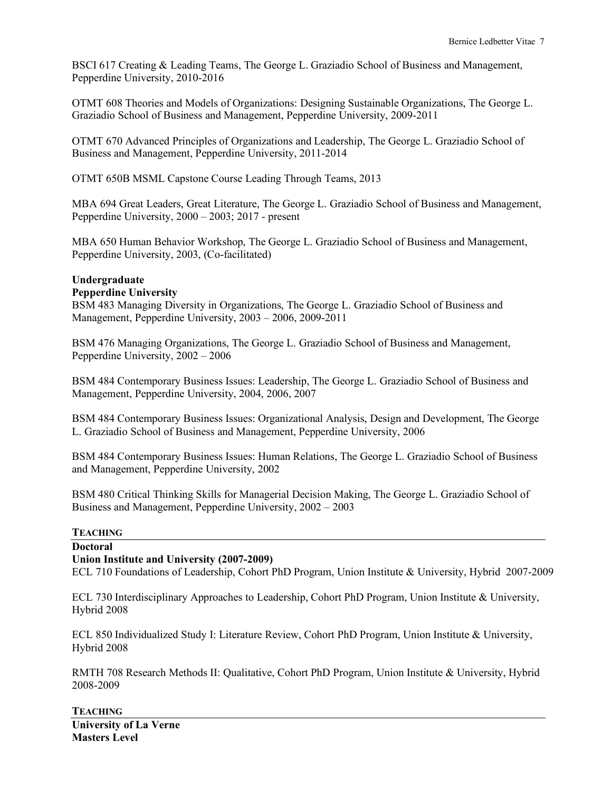BSCI 617 Creating & Leading Teams, The George L. Graziadio School of Business and Management, Pepperdine University, 2010-2016

OTMT 608 Theories and Models of Organizations: Designing Sustainable Organizations, The George L. Graziadio School of Business and Management, Pepperdine University, 2009-2011

OTMT 670 Advanced Principles of Organizations and Leadership, The George L. Graziadio School of Business and Management, Pepperdine University, 2011-2014

OTMT 650B MSML Capstone Course Leading Through Teams, 2013

MBA 694 Great Leaders, Great Literature, The George L. Graziadio School of Business and Management, Pepperdine University, 2000 – 2003; 2017 - present

MBA 650 Human Behavior Workshop, The George L. Graziadio School of Business and Management, Pepperdine University, 2003, (Co-facilitated)

# **Undergraduate**

# **Pepperdine University**

BSM 483 Managing Diversity in Organizations, The George L. Graziadio School of Business and Management, Pepperdine University, 2003 – 2006, 2009-2011

BSM 476 Managing Organizations, The George L. Graziadio School of Business and Management, Pepperdine University, 2002 – 2006

BSM 484 Contemporary Business Issues: Leadership, The George L. Graziadio School of Business and Management, Pepperdine University, 2004, 2006, 2007

BSM 484 Contemporary Business Issues: Organizational Analysis, Design and Development, The George L. Graziadio School of Business and Management, Pepperdine University, 2006

BSM 484 Contemporary Business Issues: Human Relations, The George L. Graziadio School of Business and Management, Pepperdine University, 2002

BSM 480 Critical Thinking Skills for Managerial Decision Making, The George L. Graziadio School of Business and Management, Pepperdine University, 2002 – 2003

# **TEACHING**

# **Doctoral**

# **Union Institute and University (2007-2009)**

ECL 710 Foundations of Leadership, Cohort PhD Program, Union Institute & University, Hybrid 2007-2009

ECL 730 Interdisciplinary Approaches to Leadership, Cohort PhD Program, Union Institute & University, Hybrid 2008

ECL 850 Individualized Study I: Literature Review, Cohort PhD Program, Union Institute & University, Hybrid 2008

RMTH 708 Research Methods II: Qualitative, Cohort PhD Program, Union Institute & University, Hybrid 2008-2009

**TEACHING University of La Verne Masters Level**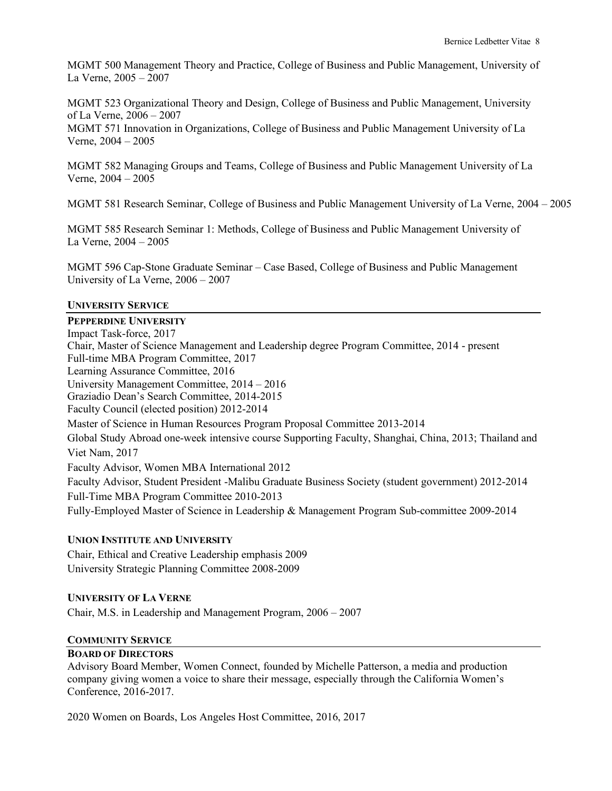MGMT 500 Management Theory and Practice, College of Business and Public Management, University of La Verne, 2005 – 2007

MGMT 523 Organizational Theory and Design, College of Business and Public Management, University of La Verne, 2006 – 2007

MGMT 571 Innovation in Organizations, College of Business and Public Management University of La Verne, 2004 – 2005

MGMT 582 Managing Groups and Teams, College of Business and Public Management University of La Verne, 2004 – 2005

MGMT 581 Research Seminar, College of Business and Public Management University of La Verne, 2004 – 2005

MGMT 585 Research Seminar 1: Methods, College of Business and Public Management University of La Verne, 2004 – 2005

MGMT 596 Cap-Stone Graduate Seminar – Case Based, College of Business and Public Management University of La Verne, 2006 – 2007

#### **UNIVERSITY SERVICE**

#### **PEPPERDINE UNIVERSITY**

Impact Task-force, 2017 Chair, Master of Science Management and Leadership degree Program Committee, 2014 - present Full-time MBA Program Committee, 2017 Learning Assurance Committee, 2016 University Management Committee, 2014 – 2016 Graziadio Dean's Search Committee, 2014-2015 Faculty Council (elected position) 2012-2014 Master of Science in Human Resources Program Proposal Committee 2013-2014 Global Study Abroad one-week intensive course Supporting Faculty, Shanghai, China, 2013; Thailand and Viet Nam, 2017 Faculty Advisor, Women MBA International 2012 Faculty Advisor, Student President -Malibu Graduate Business Society (student government) 2012-2014 Full-Time MBA Program Committee 2010-2013 Fully-Employed Master of Science in Leadership & Management Program Sub-committee 2009-2014

# **UNION INSTITUTE AND UNIVERSITY**

Chair, Ethical and Creative Leadership emphasis 2009 University Strategic Planning Committee 2008-2009

#### **UNIVERSITY OF LA VERNE**

Chair, M.S. in Leadership and Management Program, 2006 – 2007

#### **COMMUNITY SERVICE**

# **BOARD OF DIRECTORS**

Advisory Board Member, Women Connect, founded by Michelle Patterson, a media and production company giving women a voice to share their message, especially through the California Women's Conference, 2016-2017.

2020 Women on Boards, Los Angeles Host Committee, 2016, 2017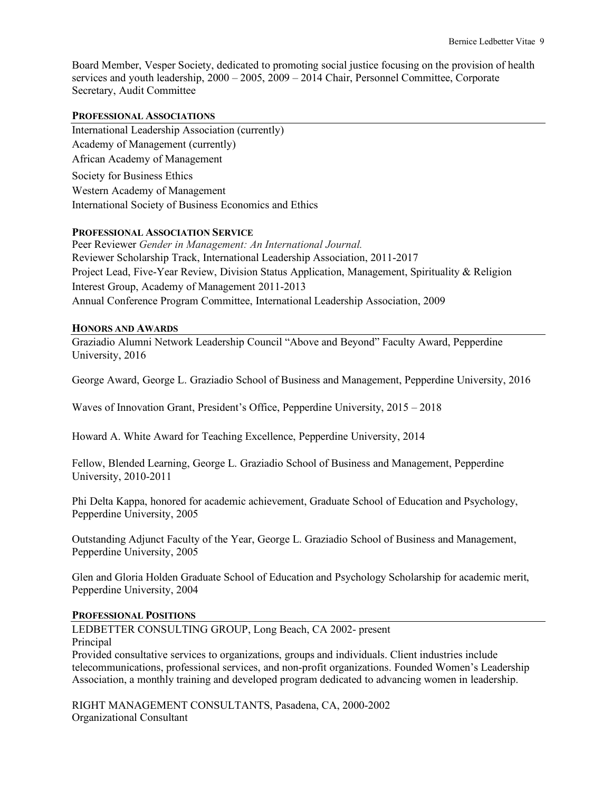Board Member, Vesper Society, dedicated to promoting social justice focusing on the provision of health services and youth leadership, 2000 – 2005, 2009 – 2014 Chair, Personnel Committee, Corporate Secretary, Audit Committee

# **PROFESSIONAL ASSOCIATIONS**

International Leadership Association (currently) Academy of Management (currently) African Academy of Management Society for Business Ethics Western Academy of Management International Society of Business Economics and Ethics

### **PROFESSIONAL ASSOCIATION SERVICE**

Peer Reviewer *Gender in Management: An International Journal.* Reviewer Scholarship Track, International Leadership Association, 2011-2017 Project Lead, Five-Year Review, Division Status Application, Management, Spirituality & Religion Interest Group, Academy of Management 2011-2013 Annual Conference Program Committee, International Leadership Association, 2009

### **HONORS AND AWARDS**

Graziadio Alumni Network Leadership Council "Above and Beyond" Faculty Award, Pepperdine University, 2016

George Award, George L. Graziadio School of Business and Management, Pepperdine University, 2016

Waves of Innovation Grant, President's Office, Pepperdine University, 2015 – 2018

Howard A. White Award for Teaching Excellence, Pepperdine University, 2014

Fellow, Blended Learning, George L. Graziadio School of Business and Management, Pepperdine University, 2010-2011

Phi Delta Kappa, honored for academic achievement, Graduate School of Education and Psychology, Pepperdine University, 2005

Outstanding Adjunct Faculty of the Year, George L. Graziadio School of Business and Management, Pepperdine University, 2005

Glen and Gloria Holden Graduate School of Education and Psychology Scholarship for academic merit, Pepperdine University, 2004

# **PROFESSIONAL POSITIONS**

LEDBETTER CONSULTING GROUP, Long Beach, CA 2002- present

Principal

Provided consultative services to organizations, groups and individuals. Client industries include telecommunications, professional services, and non-profit organizations. Founded Women's Leadership Association, a monthly training and developed program dedicated to advancing women in leadership.

RIGHT MANAGEMENT CONSULTANTS, Pasadena, CA, 2000-2002 Organizational Consultant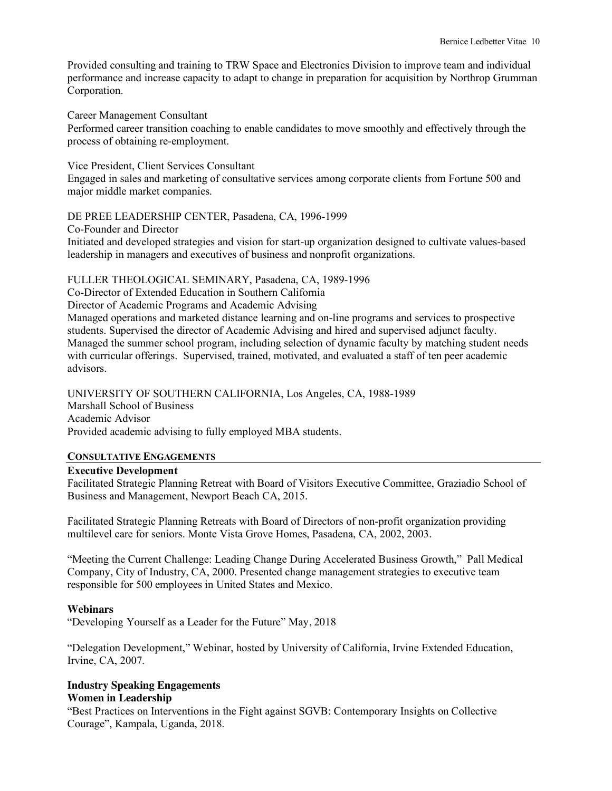Provided consulting and training to TRW Space and Electronics Division to improve team and individual performance and increase capacity to adapt to change in preparation for acquisition by Northrop Grumman Corporation.

Career Management Consultant

Performed career transition coaching to enable candidates to move smoothly and effectively through the process of obtaining re-employment.

Vice President, Client Services Consultant

Engaged in sales and marketing of consultative services among corporate clients from Fortune 500 and major middle market companies.

DE PREE LEADERSHIP CENTER, Pasadena, CA, 1996-1999

Co-Founder and Director Initiated and developed strategies and vision for start-up organization designed to cultivate values-based leadership in managers and executives of business and nonprofit organizations.

# FULLER THEOLOGICAL SEMINARY, Pasadena, CA, 1989-1996

Co-Director of Extended Education in Southern California

Director of Academic Programs and Academic Advising

Managed operations and marketed distance learning and on-line programs and services to prospective students. Supervised the director of Academic Advising and hired and supervised adjunct faculty. Managed the summer school program, including selection of dynamic faculty by matching student needs with curricular offerings. Supervised, trained, motivated, and evaluated a staff of ten peer academic advisors.

UNIVERSITY OF SOUTHERN CALIFORNIA, Los Angeles, CA, 1988-1989 Marshall School of Business Academic Advisor Provided academic advising to fully employed MBA students.

# **CONSULTATIVE ENGAGEMENTS**

# **Executive Development**

Facilitated Strategic Planning Retreat with Board of Visitors Executive Committee, Graziadio School of Business and Management, Newport Beach CA, 2015.

Facilitated Strategic Planning Retreats with Board of Directors of non-profit organization providing multilevel care for seniors. Monte Vista Grove Homes, Pasadena, CA, 2002, 2003.

"Meeting the Current Challenge: Leading Change During Accelerated Business Growth," Pall Medical Company, City of Industry, CA, 2000. Presented change management strategies to executive team responsible for 500 employees in United States and Mexico.

# **Webinars**

"Developing Yourself as a Leader for the Future" May, 2018

"Delegation Development," Webinar, hosted by University of California, Irvine Extended Education, Irvine, CA, 2007.

#### **Industry Speaking Engagements Women in Leadership**

"Best Practices on Interventions in the Fight against SGVB: Contemporary Insights on Collective Courage", Kampala, Uganda, 2018.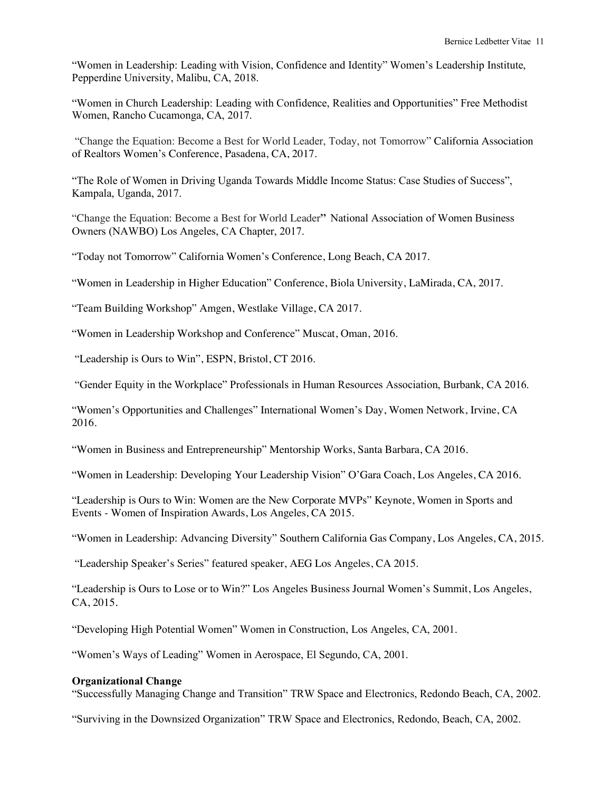"Women in Leadership: Leading with Vision, Confidence and Identity" Women's Leadership Institute, Pepperdine University, Malibu, CA, 2018.

"Women in Church Leadership: Leading with Confidence, Realities and Opportunities" Free Methodist Women, Rancho Cucamonga, CA, 2017.

"Change the Equation: Become a Best for World Leader, Today, not Tomorrow" California Association of Realtors Women's Conference, Pasadena, CA, 2017.

"The Role of Women in Driving Uganda Towards Middle Income Status: Case Studies of Success", Kampala, Uganda, 2017.

"Change the Equation: Become a Best for World Leader**"** National Association of Women Business Owners (NAWBO) Los Angeles, CA Chapter, 2017.

"Today not Tomorrow" California Women's Conference, Long Beach, CA 2017.

"Women in Leadership in Higher Education" Conference, Biola University, LaMirada, CA, 2017.

"Team Building Workshop" Amgen, Westlake Village, CA 2017.

"Women in Leadership Workshop and Conference" Muscat, Oman, 2016.

"Leadership is Ours to Win", ESPN, Bristol, CT 2016.

"Gender Equity in the Workplace" Professionals in Human Resources Association, Burbank, CA 2016.

"Women's Opportunities and Challenges" International Women's Day, Women Network, Irvine, CA 2016.

"Women in Business and Entrepreneurship" Mentorship Works, Santa Barbara, CA 2016.

"Women in Leadership: Developing Your Leadership Vision" O'Gara Coach, Los Angeles, CA 2016.

"Leadership is Ours to Win: Women are the New Corporate MVPs" Keynote, Women in Sports and Events - Women of Inspiration Awards, Los Angeles, CA 2015.

"Women in Leadership: Advancing Diversity" Southern California Gas Company, Los Angeles, CA, 2015.

"Leadership Speaker's Series" featured speaker, AEG Los Angeles, CA 2015.

"Leadership is Ours to Lose or to Win?" Los Angeles Business Journal Women's Summit, Los Angeles, CA, 2015.

"Developing High Potential Women" Women in Construction, Los Angeles, CA, 2001.

"Women's Ways of Leading" Women in Aerospace, El Segundo, CA, 2001.

# **Organizational Change**

"Successfully Managing Change and Transition" TRW Space and Electronics, Redondo Beach, CA, 2002.

"Surviving in the Downsized Organization" TRW Space and Electronics, Redondo, Beach, CA, 2002.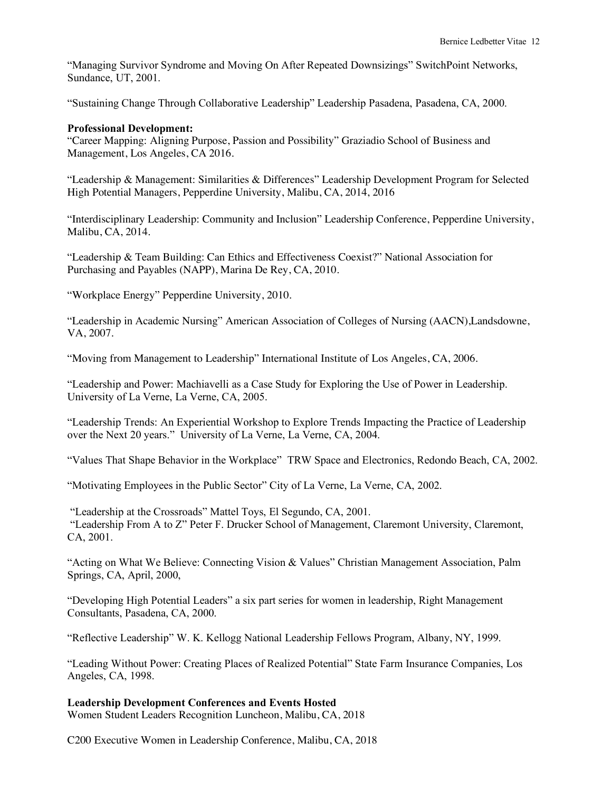"Managing Survivor Syndrome and Moving On After Repeated Downsizings" SwitchPoint Networks, Sundance, UT, 2001.

"Sustaining Change Through Collaborative Leadership" Leadership Pasadena, Pasadena, CA, 2000.

## **Professional Development:**

"Career Mapping: Aligning Purpose, Passion and Possibility" Graziadio School of Business and Management, Los Angeles, CA 2016.

"Leadership & Management: Similarities & Differences" Leadership Development Program for Selected High Potential Managers, Pepperdine University, Malibu, CA, 2014, 2016

"Interdisciplinary Leadership: Community and Inclusion" Leadership Conference, Pepperdine University, Malibu, CA, 2014.

"Leadership & Team Building: Can Ethics and Effectiveness Coexist?" National Association for Purchasing and Payables (NAPP), Marina De Rey, CA, 2010.

"Workplace Energy" Pepperdine University, 2010.

"Leadership in Academic Nursing" American Association of Colleges of Nursing (AACN),Landsdowne, VA, 2007.

"Moving from Management to Leadership" International Institute of Los Angeles, CA, 2006.

"Leadership and Power: Machiavelli as a Case Study for Exploring the Use of Power in Leadership. University of La Verne, La Verne, CA, 2005.

"Leadership Trends: An Experiential Workshop to Explore Trends Impacting the Practice of Leadership over the Next 20 years." University of La Verne, La Verne, CA, 2004.

"Values That Shape Behavior in the Workplace" TRW Space and Electronics, Redondo Beach, CA, 2002.

"Motivating Employees in the Public Sector" City of La Verne, La Verne, CA, 2002.

"Leadership at the Crossroads" Mattel Toys, El Segundo, CA, 2001. "Leadership From A to Z" Peter F. Drucker School of Management, Claremont University, Claremont, CA, 2001.

"Acting on What We Believe: Connecting Vision & Values" Christian Management Association, Palm Springs, CA, April, 2000,

"Developing High Potential Leaders" a six part series for women in leadership, Right Management Consultants, Pasadena, CA, 2000.

"Reflective Leadership" W. K. Kellogg National Leadership Fellows Program, Albany, NY, 1999.

"Leading Without Power: Creating Places of Realized Potential" State Farm Insurance Companies, Los Angeles, CA, 1998.

# **Leadership Development Conferences and Events Hosted**

Women Student Leaders Recognition Luncheon, Malibu, CA, 2018

C200 Executive Women in Leadership Conference, Malibu, CA, 2018